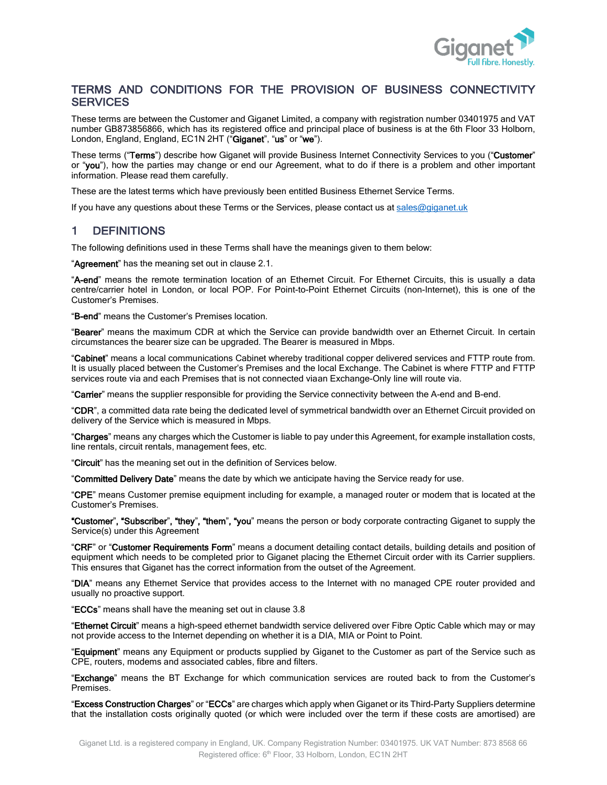

### TERMS AND CONDITIONS FOR THE PROVISION OF BUSINESS CONNECTIVITY **SERVICES**

These terms are between the Customer and Giganet Limited, a company with registration number 03401975 and VAT number GB873856866, which has its registered office and principal place of business is at the 6th Floor 33 Holborn, London, England, England, EC1N 2HT ("Giganet", "us" or "we").

These terms ("Terms") describe how Giganet will provide Business Internet Connectivity Services to you ("Customer" or "you"), how the parties may change or end our Agreement, what to do if there is a problem and other important information. Please read them carefully.

These are the latest terms which have previously been entitled Business Ethernet Service Terms.

If you have any questions about these Terms or the Services, please contact us at [sales@giganet.uk](mailto:sales@giganet.uk)

## 1 DEFINITIONS

The following definitions used in these Terms shall have the meanings given to them below:

"**Agreement**" has the meaning set out in claus[e 2.1.](#page-2-0)

"A-end" means the remote termination location of an Ethernet Circuit. For Ethernet Circuits, this is usually a data centre/carrier hotel in London, or local POP. For Point-to-Point Ethernet Circuits (non-Internet), this is one of the Customer's Premises.

"B-end" means the Customer's Premises location.

"Bearer" means the maximum CDR at which the Service can provide bandwidth over an Ethernet Circuit. In certain circumstances the bearer size can be upgraded. The Bearer is measured in Mbps.

"Cabinet" means a local communications Cabinet whereby traditional copper delivered services and FTTP route from. It is usually placed between the Customer's Premises and the local Exchange. The Cabinet is where FTTP and FTTP services route via and each Premises that is not connected viaan Exchange-Only line will route via.

"Carrier" means the supplier responsible for providing the Service connectivity between the A-end and B-end.

"CDR", a committed data rate being the dedicated level of symmetrical bandwidth over an Ethernet Circuit provided on delivery of the Service which is measured in Mbps.

"Charges" means any charges which the Customer is liable to pay under this Agreement, for example installation costs, line rentals, circuit rentals, management fees, etc.

"Circuit" has the meaning set out in the definition of Services below.

"Committed Delivery Date" means the date by which we anticipate having the Service ready for use.

"CPE" means Customer premise equipment including for example, a managed router or modem that is located at the Customer's Premises.

"Customer", "Subscriber", "they", "them", "you" means the person or body corporate contracting Giganet to supply the Service(s) under this Agreement

"CRF" or "Customer Requirements Form" means a document detailing contact details, building details and position of equipment which needs to be completed prior to Giganet placing the Ethernet Circuit order with its Carrier suppliers. This ensures that Giganet has the correct information from the outset of the Agreement.

"DIA" means any Ethernet Service that provides access to the Internet with no managed CPE router provided and usually no proactive support.

"ECCs" means shall have the meaning set out in clause [3.8](#page-3-0)

"Ethernet Circuit" means a high-speed ethernet bandwidth service delivered over Fibre Optic Cable which may or may not provide access to the Internet depending on whether it is a DIA, MIA or Point to Point.

"Equipment" means any Equipment or products supplied by Giganet to the Customer as part of the Service such as CPE, routers, modems and associated cables, fibre and filters.

"Exchange" means the BT Exchange for which communication services are routed back to from the Customer's Premises.

"Excess Construction Charges" or "ECCs" are charges which apply when Giganet or its Third-Party Suppliers determine that the installation costs originally quoted (or which were included over the term if these costs are amortised) are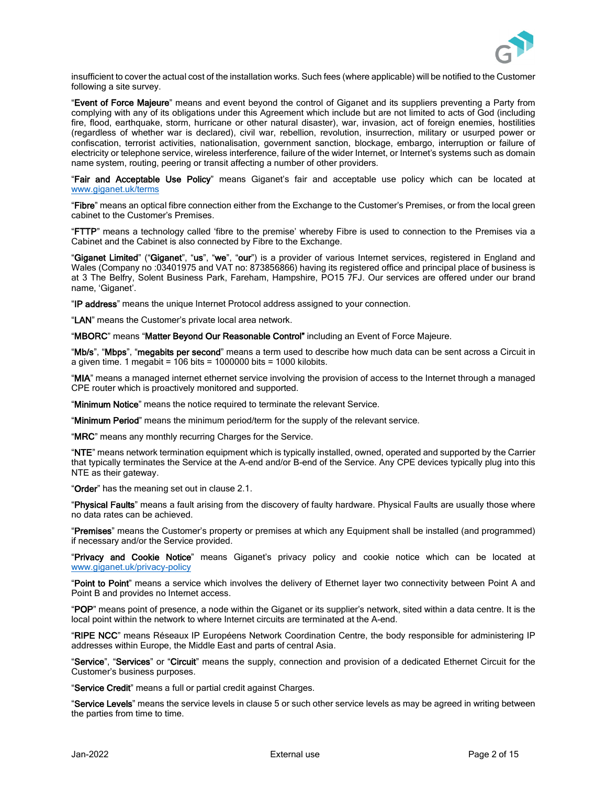

insufficient to cover the actual cost of the installation works. Such fees (where applicable) will be notified to the Customer following a site survey.

"Event of Force Majeure" means and event beyond the control of Giganet and its suppliers preventing a Party from complying with any of its obligations under this Agreement which include but are not limited to acts of God (including fire, flood, earthquake, storm, hurricane or other natural disaster), war, invasion, act of foreign enemies, hostilities (regardless of whether war is declared), civil war, rebellion, revolution, insurrection, military or usurped power or confiscation, terrorist activities, nationalisation, government sanction, blockage, embargo, interruption or failure of electricity or telephone service, wireless interference, failure of the wider Internet, or Internet's systems such as domain name system, routing, peering or transit affecting a number of other providers.

"Fair and Acceptable Use Policy" means Giganet's fair and acceptable use policy which can be located at [www.giganet.uk/terms](http://www.giganet.uk/terms) 

"Fibre" means an optical fibre connection either from the Exchange to the Customer's Premises, or from the local green cabinet to the Customer's Premises.

"FTTP" means a technology called 'fibre to the premise' whereby Fibre is used to connection to the Premises via a Cabinet and the Cabinet is also connected by Fibre to the Exchange.

"Giganet Limited" ("Giganet", "us", "we", "our") is a provider of various Internet services, registered in England and Wales (Company no :03401975 and VAT no: 873856866) having its registered office and principal place of business is at 3 The Belfry, Solent Business Park, Fareham, Hampshire, PO15 7FJ. Our services are offered under our brand name, 'Giganet'.

"IP address" means the unique Internet Protocol address assigned to your connection.

"LAN" means the Customer's private local area network.

"MBORC" means "Matter Beyond Our Reasonable Control" including an Event of Force Majeure.

"Mb/s", "Mbps", "megabits per second" means a term used to describe how much data can be sent across a Circuit in a given time. 1 megabit =  $106$  bits =  $1000000$  bits =  $1000$  kilobits.

"MIA" means a managed internet ethernet service involving the provision of access to the Internet through a managed CPE router which is proactively monitored and supported.

"Minimum Notice" means the notice required to terminate the relevant Service.

"Minimum Period" means the minimum period/term for the supply of the relevant service.

"MRC" means any monthly recurring Charges for the Service.

"NTE" means network termination equipment which is typically installed, owned, operated and supported by the Carrier that typically terminates the Service at the A-end and/or B-end of the Service. Any CPE devices typically plug into this NTE as their gateway.

"Order" has the meaning set out in claus[e 2.1.](#page-2-0)

"Physical Faults" means a fault arising from the discovery of faulty hardware. Physical Faults are usually those where no data rates can be achieved.

"Premises" means the Customer's property or premises at which any Equipment shall be installed (and programmed) if necessary and/or the Service provided.

"Privacy and Cookie Notice" means Giganet's privacy policy and cookie notice which can be located at [www.giganet.uk/privacy-policy](http://www.giganet.uk/privacy-policy) 

"Point to Point" means a service which involves the delivery of Ethernet layer two connectivity between Point A and Point B and provides no Internet access.

"POP" means point of presence, a node within the Giganet or its supplier's network, sited within a data centre. It is the local point within the network to where Internet circuits are terminated at the A-end.

"RIPE NCC" means Réseaux IP Européens Network Coordination Centre, the body responsible for administering IP addresses within Europe, the Middle East and parts of central Asia.

"Service", "Services" or "Circuit" means the supply, connection and provision of a dedicated Ethernet Circuit for the Customer's business purposes.

"Service Credit" means a full or partial credit against Charges.

"Service Levels" means the service levels in claus[e 5](#page-4-0) or such other service levels as may be agreed in writing between the parties from time to time.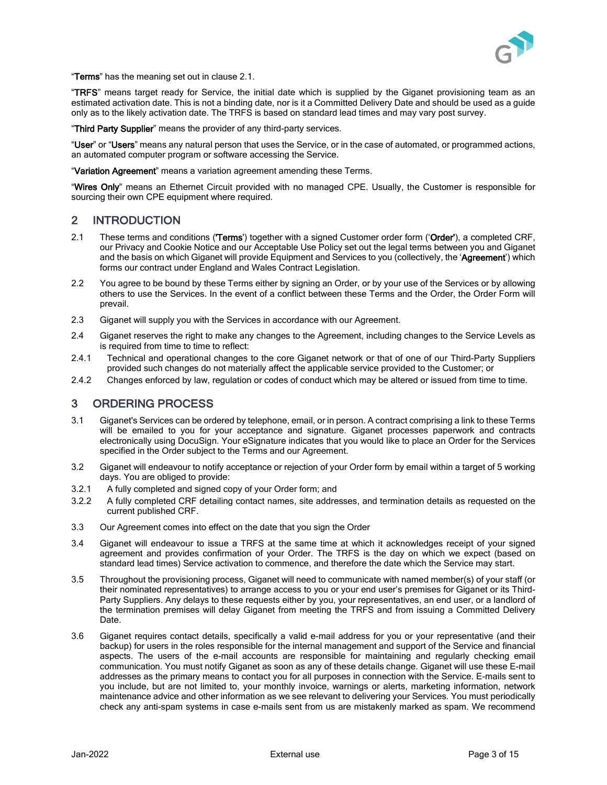

"Terms" has the meaning set out in clause [2.1.](#page-2-0)

"TRFS" means target ready for Service, the initial date which is supplied by the Giganet provisioning team as an estimated activation date. This is not a binding date, nor is it a Committed Delivery Date and should be used as a guide only as to the likely activation date. The TRFS is based on standard lead times and may vary post survey.

"Third Party Supplier" means the provider of any third-party services.

"User" or "Users" means any natural person that uses the Service, or in the case of automated, or programmed actions, an automated computer program or software accessing the Service.

"Variation Agreement" means a variation agreement amending these Terms.

"Wires Only" means an Ethernet Circuit provided with no managed CPE. Usually, the Customer is responsible for sourcing their own CPE equipment where required.

## 2 INTRODUCTION

- <span id="page-2-0"></span>2.1 These terms and conditions (**'Terms'**) together with a signed Customer order form ('Order'), a completed CRF, our Privacy and Cookie Notice and our Acceptable Use Policy set out the legal terms between you and Giganet and the basis on which Giganet will provide Equipment and Services to you (collectively, the 'Agreement') which forms our contract under England and Wales Contract Legislation.
- 2.2 You agree to be bound by these Terms either by signing an Order, or by your use of the Services or by allowing others to use the Services. In the event of a conflict between these Terms and the Order, the Order Form will prevail.
- 2.3 Giganet will supply you with the Services in accordance with our Agreement.
- 2.4 Giganet reserves the right to make any changes to the Agreement, including changes to the Service Levels as is required from time to time to reflect:
- 2.4.1 Technical and operational changes to the core Giganet network or that of one of our Third-Party Suppliers provided such changes do not materially affect the applicable service provided to the Customer; or
- 2.4.2 Changes enforced by law, regulation or codes of conduct which may be altered or issued from time to time.

### 3 ORDERING PROCESS

- 3.1 Giganet's Services can be ordered by telephone, email, or in person. A contract comprising a link to these Terms will be emailed to you for your acceptance and signature. Giganet processes paperwork and contracts electronically using DocuSign. Your eSignature indicates that you would like to place an Order for the Services specified in the Order subject to the Terms and our Agreement.
- 3.2 Giganet will endeavour to notify acceptance or rejection of your Order form by email within a target of 5 working days. You are obliged to provide:
- 3.2.1 A fully completed and signed copy of your Order form; and
- 3.2.2 A fully completed CRF detailing contact names, site addresses, and termination details as requested on the current published CRF.
- 3.3 Our Agreement comes into effect on the date that you sign the Order
- 3.4 Giganet will endeavour to issue a TRFS at the same time at which it acknowledges receipt of your signed agreement and provides confirmation of your Order. The TRFS is the day on which we expect (based on standard lead times) Service activation to commence, and therefore the date which the Service may start.
- 3.5 Throughout the provisioning process, Giganet will need to communicate with named member(s) of your staff (or their nominated representatives) to arrange access to you or your end user's premises for Giganet or its Third-Party Suppliers. Any delays to these requests either by you, your representatives, an end user, or a landlord of the termination premises will delay Giganet from meeting the TRFS and from issuing a Committed Delivery Date.
- 3.6 Giganet requires contact details, specifically a valid e-mail address for you or your representative (and their backup) for users in the roles responsible for the internal management and support of the Service and financial aspects. The users of the e-mail accounts are responsible for maintaining and regularly checking email communication. You must notify Giganet as soon as any of these details change. Giganet will use these E-mail addresses as the primary means to contact you for all purposes in connection with the Service. E-mails sent to you include, but are not limited to, your monthly invoice, warnings or alerts, marketing information, network maintenance advice and other information as we see relevant to delivering your Services. You must periodically check any anti-spam systems in case e-mails sent from us are mistakenly marked as spam. We recommend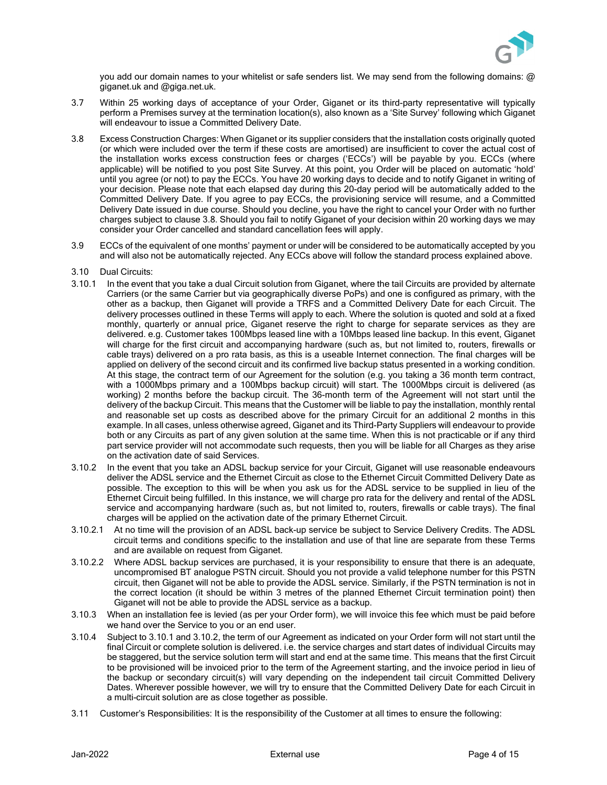

you add our domain names to your whitelist or safe senders list. We may send from the following domains: @ giganet.uk and @giga.net.uk.

- 3.7 Within 25 working days of acceptance of your Order, Giganet or its third-party representative will typically perform a Premises survey at the termination location(s), also known as a 'Site Survey' following which Giganet will endeavour to issue a Committed Delivery Date.
- <span id="page-3-0"></span>3.8 Excess Construction Charges: When Giganet or its supplier considers that the installation costs originally quoted (or which were included over the term if these costs are amortised) are insufficient to cover the actual cost of the installation works excess construction fees or charges ('ECCs') will be payable by you. ECCs (where applicable) will be notified to you post Site Survey. At this point, you Order will be placed on automatic 'hold' until you agree (or not) to pay the ECCs. You have 20 working days to decide and to notify Giganet in writing of your decision. Please note that each elapsed day during this 20-day period will be automatically added to the Committed Delivery Date. If you agree to pay ECCs, the provisioning service will resume, and a Committed Delivery Date issued in due course. Should you decline, you have the right to cancel your Order with no further charges subject to clause [3.8.](#page-3-1) Should you fail to notify Giganet of your decision within 20 working days we may consider your Order cancelled and standard cancellation fees will apply.
- <span id="page-3-1"></span>3.9 ECCs of the equivalent of one months' payment or under will be considered to be automatically accepted by you and will also not be automatically rejected. Any ECCs above will follow the standard process explained above.
- 3.10 Dual Circuits:
- 3.10.1 In the event that you take a dual Circuit solution from Giganet, where the tail Circuits are provided by alternate Carriers (or the same Carrier but via geographically diverse PoPs) and one is configured as primary, with the other as a backup, then Giganet will provide a TRFS and a Committed Delivery Date for each Circuit. The delivery processes outlined in these Terms will apply to each. Where the solution is quoted and sold at a fixed monthly, quarterly or annual price, Giganet reserve the right to charge for separate services as they are delivered. e.g. Customer takes 100Mbps leased line with a 10Mbps leased line backup. In this event, Giganet will charge for the first circuit and accompanying hardware (such as, but not limited to, routers, firewalls or cable trays) delivered on a pro rata basis, as this is a useable Internet connection. The final charges will be applied on delivery of the second circuit and its confirmed live backup status presented in a working condition. At this stage, the contract term of our Agreement for the solution (e.g. you taking a 36 month term contract, with a 1000Mbps primary and a 100Mbps backup circuit) will start. The 1000Mbps circuit is delivered (as working) 2 months before the backup circuit. The 36-month term of the Agreement will not start until the delivery of the backup Circuit. This means that the Customer will be liable to pay the installation, monthly rental and reasonable set up costs as described above for the primary Circuit for an additional 2 months in this example. In all cases, unless otherwise agreed, Giganet and its Third-Party Suppliers will endeavour to provide both or any Circuits as part of any given solution at the same time. When this is not practicable or if any third part service provider will not accommodate such requests, then you will be liable for all Charges as they arise on the activation date of said Services.
- <span id="page-3-3"></span><span id="page-3-2"></span>3.10.2 In the event that you take an ADSL backup service for your Circuit, Giganet will use reasonable endeavours deliver the ADSL service and the Ethernet Circuit as close to the Ethernet Circuit Committed Delivery Date as possible. The exception to this will be when you ask us for the ADSL service to be supplied in lieu of the Ethernet Circuit being fulfilled. In this instance, we will charge pro rata for the delivery and rental of the ADSL service and accompanying hardware (such as, but not limited to, routers, firewalls or cable trays). The final charges will be applied on the activation date of the primary Ethernet Circuit.
- 3.10.2.1 At no time will the provision of an ADSL back-up service be subject to Service Delivery Credits. The ADSL circuit terms and conditions specific to the installation and use of that line are separate from these Terms and are available on request from Giganet.
- 3.10.2.2 Where ADSL backup services are purchased, it is your responsibility to ensure that there is an adequate, uncompromised BT analogue PSTN circuit. Should you not provide a valid telephone number for this PSTN circuit, then Giganet will not be able to provide the ADSL service. Similarly, if the PSTN termination is not in the correct location (it should be within 3 metres of the planned Ethernet Circuit termination point) then Giganet will not be able to provide the ADSL service as a backup.
- 3.10.3 When an installation fee is levied (as per your Order form), we will invoice this fee which must be paid before we hand over the Service to you or an end user.
- 3.10.4 Subject to [3.10.1](#page-3-2) and [3.10.2,](#page-3-3) the term of our Agreement as indicated on your Order form will not start until the final Circuit or complete solution is delivered. i.e. the service charges and start dates of individual Circuits may be staggered, but the service solution term will start and end at the same time. This means that the first Circuit to be provisioned will be invoiced prior to the term of the Agreement starting, and the invoice period in lieu of the backup or secondary circuit(s) will vary depending on the independent tail circuit Committed Delivery Dates. Wherever possible however, we will try to ensure that the Committed Delivery Date for each Circuit in a multi-circuit solution are as close together as possible.
- 3.11 Customer's Responsibilities: It is the responsibility of the Customer at all times to ensure the following: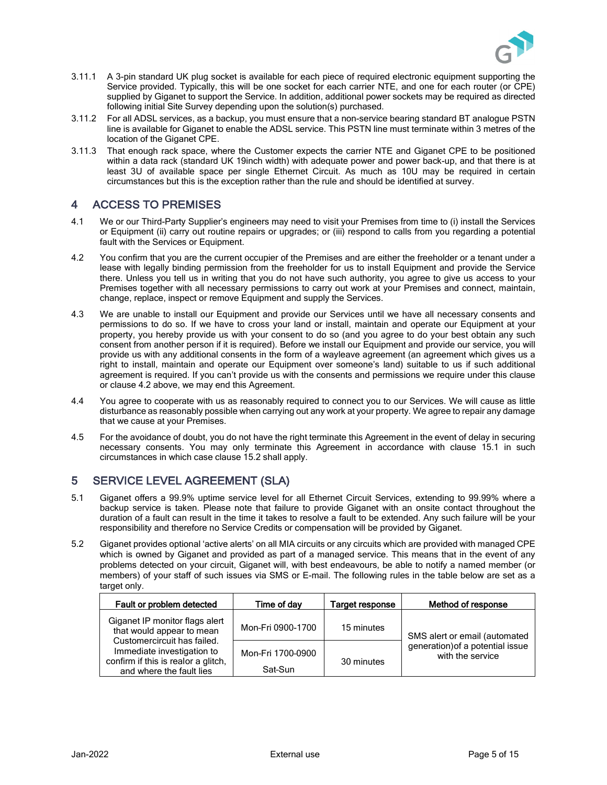

- 3.11.1 A 3-pin standard UK plug socket is available for each piece of required electronic equipment supporting the Service provided. Typically, this will be one socket for each carrier NTE, and one for each router (or CPE) supplied by Giganet to support the Service. In addition, additional power sockets may be required as directed following initial Site Survey depending upon the solution(s) purchased.
- 3.11.2 For all ADSL services, as a backup, you must ensure that a non-service bearing standard BT analogue PSTN line is available for Giganet to enable the ADSL service. This PSTN line must terminate within 3 metres of the location of the Giganet CPE.
- 3.11.3 That enough rack space, where the Customer expects the carrier NTE and Giganet CPE to be positioned within a data rack (standard UK 19inch width) with adequate power and power back-up, and that there is at least 3U of available space per single Ethernet Circuit. As much as 10U may be required in certain circumstances but this is the exception rather than the rule and should be identified at survey.

# 4 ACCESS TO PREMISES

- 4.1 We or our Third-Party Supplier's engineers may need to visit your Premises from time to (i) install the Services or Equipment (ii) carry out routine repairs or upgrades; or (iii) respond to calls from you regarding a potential fault with the Services or Equipment.
- <span id="page-4-1"></span>4.2 You confirm that you are the current occupier of the Premises and are either the freeholder or a tenant under a lease with legally binding permission from the freeholder for us to install Equipment and provide the Service there. Unless you tell us in writing that you do not have such authority, you agree to give us access to your Premises together with all necessary permissions to carry out work at your Premises and connect, maintain, change, replace, inspect or remove Equipment and supply the Services.
- 4.3 We are unable to install our Equipment and provide our Services until we have all necessary consents and permissions to do so. If we have to cross your land or install, maintain and operate our Equipment at your property, you hereby provide us with your consent to do so (and you agree to do your best obtain any such consent from another person if it is required). Before we install our Equipment and provide our service, you will provide us with any additional consents in the form of a wayleave agreement (an agreement which gives us a right to install, maintain and operate our Equipment over someone's land) suitable to us if such additional agreement is required. If you can't provide us with the consents and permissions we require under this clause or claus[e 4.2](#page-4-1) above, we may end this Agreement.
- 4.4 You agree to cooperate with us as reasonably required to connect you to our Services. We will cause as little disturbance as reasonably possible when carrying out any work at your property. We agree to repair any damage that we cause at your Premises.
- 4.5 For the avoidance of doubt, you do not have the right terminate this Agreement in the event of delay in securing necessary consents. You may only terminate this Agreement in accordance with clause [15.1](#page-11-0) in such circumstances in which case clause [15.2](#page-11-1) shall apply.

# <span id="page-4-0"></span>5 SERVICE LEVEL AGREEMENT (SLA)

- 5.1 Giganet offers a 99.9% uptime service level for all Ethernet Circuit Services, extending to 99.99% where a backup service is taken. Please note that failure to provide Giganet with an onsite contact throughout the duration of a fault can result in the time it takes to resolve a fault to be extended. Any such failure will be your responsibility and therefore no Service Credits or compensation will be provided by Giganet.
- <span id="page-4-3"></span>5.2 Giganet provides optional 'active alerts' on all MIA circuits or any circuits which are provided with managed CPE which is owned by Giganet and provided as part of a managed service. This means that in the event of any problems detected on your circuit, Giganet will, with best endeavours, be able to notify a named member (or members) of your staff of such issues via SMS or E-mail. The following rules in the table [below](#page-4-2) are set as a target only.

<span id="page-4-2"></span>

| Fault or problem detected                                                                     | Time of dav                  | Target response | Method of response                                                                    |
|-----------------------------------------------------------------------------------------------|------------------------------|-----------------|---------------------------------------------------------------------------------------|
| Giganet IP monitor flags alert<br>that would appear to mean<br>Customercircuit has failed.    | Mon-Fri 0900-1700            | 15 minutes      | SMS alert or email (automated<br>generation) of a potential issue<br>with the service |
| Immediate investigation to<br>confirm if this is realor a glitch,<br>and where the fault lies | Mon-Fri 1700-0900<br>Sat-Sun | 30 minutes      |                                                                                       |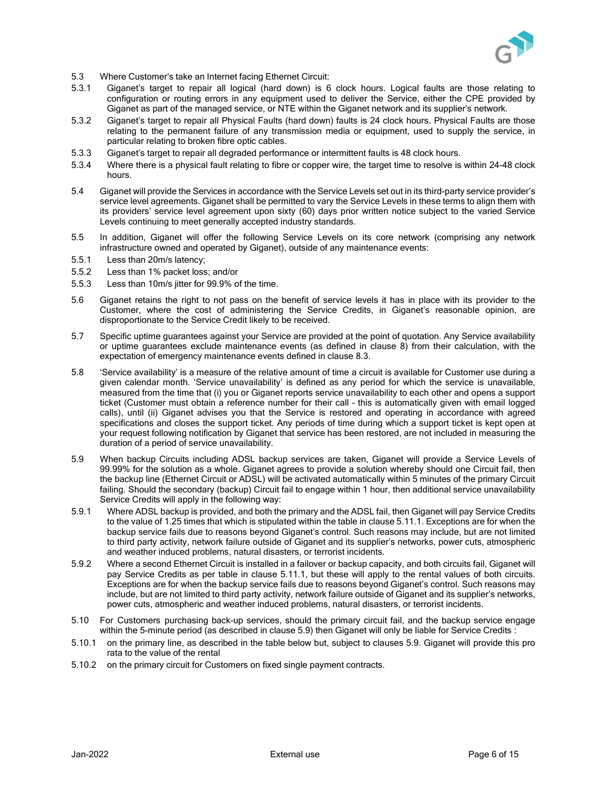

- 5.3 Where Customer's take an Internet facing Ethernet Circuit:
- 5.3.1 Giganet's target to repair all logical (hard down) is 6 clock hours. Logical faults are those relating to configuration or routing errors in any equipment used to deliver the Service, either the CPE provided by Giganet as part of the managed service, or NTE within the Giganet network and its supplier's network.
- 5.3.2 Giganet's target to repair all Physical Faults (hard down) faults is 24 clock hours. Physical Faults are those relating to the permanent failure of any transmission media or equipment, used to supply the service, in particular relating to broken fibre optic cables.
- 5.3.3 Giganet's target to repair all degraded performance or intermittent faults is 48 clock hours.
- 5.3.4 Where there is a physical fault relating to fibre or copper wire, the target time to resolve is within 24-48 clock hours.
- <span id="page-5-1"></span>5.4 Giganet will provide the Services in accordance with the Service Levels set out in its third-party service provider's service level agreements. Giganet shall be permitted to vary the Service Levels in these terms to align them with its providers' service level agreement upon sixty (60) days prior written notice subject to the varied Service Levels continuing to meet generally accepted industry standards.
- 5.5 In addition, Giganet will offer the following Service Levels on its core network (comprising any network infrastructure owned and operated by Giganet), outside of any maintenance events:
- 5.5.1 Less than 20m/s latency;
- 5.5.2 Less than 1% packet loss; and/or
- 5.5.3 Less than 10m/s jitter for 99.9% of the time.
- 5.6 Giganet retains the right to not pass on the benefit of service levels it has in place with its provider to the Customer, where the cost of administering the Service Credits, in Giganet's reasonable opinion, are disproportionate to the Service Credit likely to be received.
- 5.7 Specific uptime guarantees against your Service are provided at the point of quotation. Any Service availability or uptime guarantees exclude maintenance events (as defined in clause [8\)](#page-8-0) from their calculation, with the expectation of emergency maintenance events defined in clause [8.3.](#page-9-0)
- 5.8 'Service availability' is a measure of the relative amount of time a circuit is available for Customer use during a given calendar month. 'Service unavailability' is defined as any period for which the service is unavailable, measured from the time that (i) you or Giganet reports service unavailability to each other and opens a support ticket (Customer must obtain a reference number for their call – this is automatically given with email logged calls), until (ii) Giganet advises you that the Service is restored and operating in accordance with agreed specifications and closes the support ticket. Any periods of time during which a support ticket is kept open at your request following notification by Giganet that service has been restored, are not included in measuring the duration of a period of service unavailability.
- <span id="page-5-0"></span>5.9 When backup Circuits including ADSL backup services are taken, Giganet will provide a Service Levels of 99.99% for the solution as a whole. Giganet agrees to provide a solution whereby should one Circuit fail, then the backup line (Ethernet Circuit or ADSL) will be activated automatically within 5 minutes of the primary Circuit failing. Should the secondary (backup) Circuit fail to engage within 1 hour, then additional service unavailability Service Credits will apply in the following way:
- 5.9.1 Where ADSL backup is provided, and both the primary and the ADSL fail, then Giganet will pay Service Credits to the value of 1.25 times that which is stipulated within the table in clause [5.11.1.](#page-6-0) Exceptions are for when the backup service fails due to reasons beyond Giganet's control. Such reasons may include, but are not limited to third party activity, network failure outside of Giganet and its supplier's networks, power cuts, atmospheric and weather induced problems, natural disasters, or terrorist incidents.
- 5.9.2 Where a second Ethernet Circuit is installed in a failover or backup capacity, and both circuits fail, Giganet will pay Service Credits as per table in clause 5.11.1, but these will apply to the rental values of both circuits. Exceptions are for when the backup service fails due to reasons beyond Giganet's control. Such reasons may include, but are not limited to third party activity, network failure outside of Giganet and its supplier's networks, power cuts, atmospheric and weather induced problems, natural disasters, or terrorist incidents.
- 5.10 For Customers purchasing back-up services, should the primary circuit fail, and the backup service engage within the 5-minute period (as described in claus[e 5.9\)](#page-5-0) then Giganet will only be liable for Service Credits :
- 5.10.1 on the primary line, as described in the table below but, subject to clauses [5.9. G](#page-5-0)iganet will provide this pro rata to the value of the rental
- 5.10.2 on the primary circuit for Customers on fixed single payment contracts.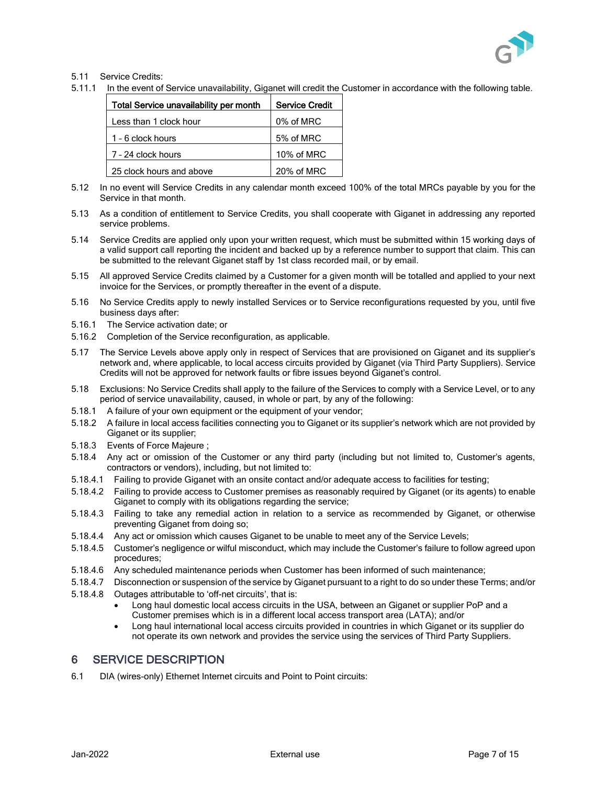

#### 5.11 Service Credits:

<span id="page-6-0"></span>5.11.1 In the event of Service unavailability, Giganet will credit the Customer in accordance with the following table.

| <b>Total Service unavailability per month</b> | <b>Service Credit</b> |
|-----------------------------------------------|-----------------------|
| Less than 1 clock hour                        | 0% of MRC             |
| 1 - 6 clock hours                             | 5% of MRC             |
| 7 - 24 clock hours                            | 10% of MRC            |
| 25 clock hours and above                      | 20% of MRC            |

- 5.12 In no event will Service Credits in any calendar month exceed 100% of the total MRCs payable by you for the Service in that month.
- 5.13 As a condition of entitlement to Service Credits, you shall cooperate with Giganet in addressing any reported service problems.
- 5.14 Service Credits are applied only upon your written request, which must be submitted within 15 working days of a valid support call reporting the incident and backed up by a reference number to support that claim. This can be submitted to the relevant Giganet staff by 1st class recorded mail, or by email.
- 5.15 All approved Service Credits claimed by a Customer for a given month will be totalled and applied to your next invoice for the Services, or promptly thereafter in the event of a dispute.
- 5.16 No Service Credits apply to newly installed Services or to Service reconfigurations requested by you, until five business days after:
- 5.16.1 The Service activation date; or
- 5.16.2 Completion of the Service reconfiguration, as applicable.
- 5.17 The Service Levels above apply only in respect of Services that are provisioned on Giganet and its supplier's network and, where applicable, to local access circuits provided by Giganet (via Third Party Suppliers). Service Credits will not be approved for network faults or fibre issues beyond Giganet's control.
- 5.18 Exclusions: No Service Credits shall apply to the failure of the Services to comply with a Service Level, or to any period of service unavailability, caused, in whole or part, by any of the following:
- 5.18.1 A failure of your own equipment or the equipment of your vendor;
- 5.18.2 A failure in local access facilities connecting you to Giganet or its supplier's network which are not provided by Giganet or its supplier;
- 5.18.3 Events of Force Majeure [;](#page-10-0)
- 5.18.4 Any act or omission of the Customer or any third party (including but not limited to, Customer's agents, contractors or vendors), including, but not limited to:
- 5.18.4.1 Failing to provide Giganet with an onsite contact and/or adequate access to facilities for testing;
- 5.18.4.2 Failing to provide access to Customer premises as reasonably required by Giganet (or its agents) to enable Giganet to comply with its obligations regarding the service;
- 5.18.4.3 Failing to take any remedial action in relation to a service as recommended by Giganet, or otherwise preventing Giganet from doing so;
- 5.18.4.4 Any act or omission which causes Giganet to be unable to meet any of the Service Levels;
- 5.18.4.5 Customer's negligence or wilful misconduct, which may include the Customer's failure to follow agreed upon procedures;
- 5.18.4.6 Any scheduled maintenance periods when Customer has been informed of such maintenance;
- 5.18.4.7 Disconnection or suspension of the service by Giganet pursuant to a right to do so under these Terms; and/or
- 5.18.4.8 Outages attributable to 'off-net circuits', that is:
	- Long haul domestic local access circuits in the USA, between an Giganet or supplier PoP and a Customer premises which is in a different local access transport area (LATA); and/or
	- Long haul international local access circuits provided in countries in which Giganet or its supplier do not operate its own network and provides the service using the services of Third Party Suppliers.

### 6 SERVICE DESCRIPTION

6.1 DIA (wires-only) Ethernet Internet circuits and Point to Point circuits: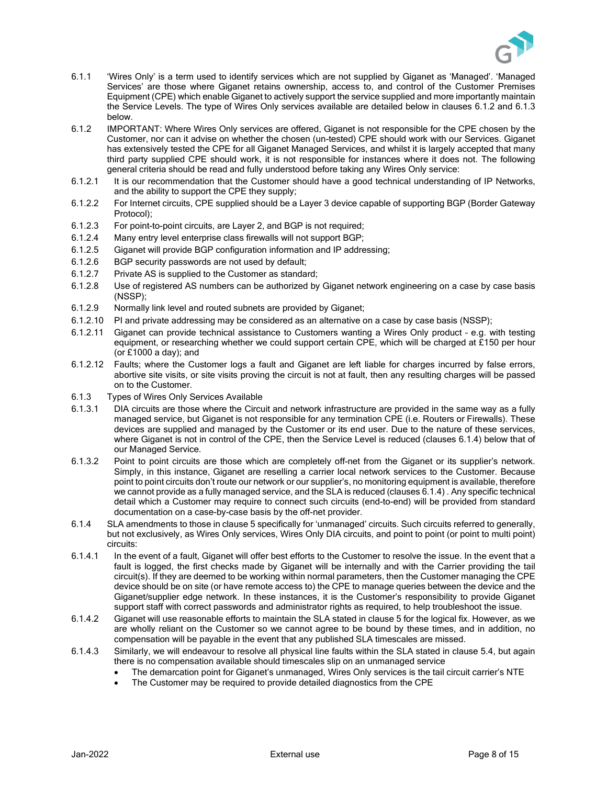

- 6.1.1 'Wires Only' is a term used to identify services which are not supplied by Giganet as 'Managed'. 'Managed Services' are those where Giganet retains ownership, access to, and control of the Customer Premises Equipment (CPE) which enable Giganet to actively support the service supplied and more importantly maintain the Service Levels. The type of Wires Only services available are detailed below in clauses [6.1.2](#page-7-0) and [6.1.3](#page-7-1) below.
- <span id="page-7-0"></span>6.1.2 IMPORTANT: Where Wires Only services are offered, Giganet is not responsible for the CPE chosen by the Customer, nor can it advise on whether the chosen (un-tested) CPE should work with our Services. Giganet has extensively tested the CPE for all Giganet Managed Services, and whilst it is largely accepted that many third party supplied CPE should work, it is not responsible for instances where it does not. The following general criteria should be read and fully understood before taking any Wires Only service:
- 6.1.2.1 It is our recommendation that the Customer should have a good technical understanding of IP Networks, and the ability to support the CPE they supply;
- 6.1.2.2 For Internet circuits, CPE supplied should be a Layer 3 device capable of supporting BGP (Border Gateway Protocol);
- 6.1.2.3 For point-to-point circuits, are Layer 2, and BGP is not required;
- 6.1.2.4 Many entry level enterprise class firewalls will not support BGP;
- 6.1.2.5 Giganet will provide BGP configuration information and IP addressing;
- 6.1.2.6 BGP security passwords are not used by default;
- 6.1.2.7 Private AS is supplied to the Customer as standard;
- 6.1.2.8 Use of registered AS numbers can be authorized by Giganet network engineering on a case by case basis (NSSP);
- 6.1.2.9 Normally link level and routed subnets are provided by Giganet;
- 6.1.2.10 PI and private addressing may be considered as an alternative on a case by case basis (NSSP);
- 6.1.2.11 Giganet can provide technical assistance to Customers wanting a Wires Only product e.g. with testing equipment, or researching whether we could support certain CPE, which will be charged at £150 per hour (or £1000 a day); and
- 6.1.2.12 Faults; where the Customer logs a fault and Giganet are left liable for charges incurred by false errors, abortive site visits, or site visits proving the circuit is not at fault, then any resulting charges will be passed on to the Customer.
- <span id="page-7-1"></span>6.1.3 Types of Wires Only Services Available
- 6.1.3.1 DIA circuits are those where the Circuit and network infrastructure are provided in the same way as a fully managed service, but Giganet is not responsible for any termination CPE (i.e. Routers or Firewalls). These devices are supplied and managed by the Customer or its end user. Due to the nature of these services, where Giganet is not in control of the CPE, then the Service Level is reduced (clauses [6.1.4\) b](#page-7-2)elow that of our Managed Service.
- 6.1.3.2 Point to point circuits are those which are completely off-net from the Giganet or its supplier's network. Simply, in this instance, Giganet are reselling a carrier local network services to the Customer. Because point to point circuits don't route our network or our supplier's, no monitoring equipment is available, therefore we cannot provide as a fully managed service, and the SLA is reduced (clauses [6.1.4\) .](#page-7-2) Any specific technical detail which a Customer may require to connect such circuits (end-to-end) will be provided from standard documentation on a case-by-case basis by the off-net provider.
- <span id="page-7-2"></span>6.1.4 SLA amendments to those in claus[e 5](#page-4-0) specifically for 'unmanaged' circuits. Such circuits referred to generally, but not exclusively, as Wires Only services, Wires Only DIA circuits, and point to point (or point to multi point) circuits:
- 6.1.4.1 In the event of a fault, Giganet will offer best efforts to the Customer to resolve the issue. In the event that a fault is logged, the first checks made by Giganet will be internally and with the Carrier providing the tail circuit(s). If they are deemed to be working within normal parameters, then the Customer managing the CPE device should be on site (or have remote access to) the CPE to manage queries between the device and the Giganet/supplier edge network. In these instances, it is the Customer's responsibility to provide Giganet support staff with correct passwords and administrator rights as required, to help troubleshoot the issue.
- 6.1.4.2 Giganet will use reasonable efforts to maintain the SLA stated in claus[e 5](#page-4-0) for the logical fix. However, as we are wholly reliant on the Customer so we cannot agree to be bound by these times, and in addition, no compensation will be payable in the event that any published SLA timescales are missed.
- 6.1.4.3 Similarly, we will endeavour to resolve all physical line faults within the SLA stated in clause [5.4, b](#page-5-1)ut again there is no compensation available should timescales slip on an unmanaged service
	- The demarcation point for Giganet's unmanaged, Wires Only services is the tail circuit carrier's NTE
	- The Customer may be required to provide detailed diagnostics from the CPE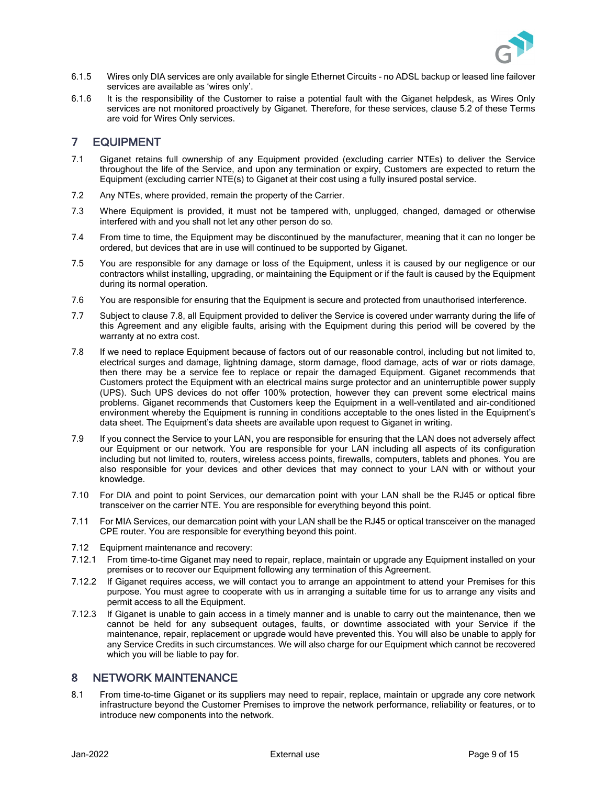

- 6.1.5 Wires only DIA services are only available for single Ethernet Circuits no ADSL backup or leased line failover services are available as 'wires only'.
- 6.1.6 It is the responsibility of the Customer to raise a potential fault with the Giganet helpdesk, as Wires Only services are not monitored proactively by Giganet. Therefore, for these services, clause [5.2](#page-4-3) of these Terms are void for Wires Only services.

### 7 EQUIPMENT

- 7.1 Giganet retains full ownership of any Equipment provided (excluding carrier NTEs) to deliver the Service throughout the life of the Service, and upon any termination or expiry, Customers are expected to return the Equipment (excluding carrier NTE(s) to Giganet at their cost using a fully insured postal service.
- 7.2 Any NTEs, where provided, remain the property of the Carrier.
- 7.3 Where Equipment is provided, it must not be tampered with, unplugged, changed, damaged or otherwise interfered with and you shall not let any other person do so.
- 7.4 From time to time, the Equipment may be discontinued by the manufacturer, meaning that it can no longer be ordered, but devices that are in use will continued to be supported by Giganet.
- 7.5 You are responsible for any damage or loss of the Equipment, unless it is caused by our negligence or our contractors whilst installing, upgrading, or maintaining the Equipment or if the fault is caused by the Equipment during its normal operation.
- 7.6 You are responsible for ensuring that the Equipment is secure and protected from unauthorised interference.
- 7.7 Subject to clause [7.8,](#page-8-1) all Equipment provided to deliver the Service is covered under warranty during the life of this Agreement and any eligible faults, arising with the Equipment during this period will be covered by the warranty at no extra cost.
- <span id="page-8-1"></span>7.8 If we need to replace Equipment because of factors out of our reasonable control, including but not limited to, electrical surges and damage, lightning damage, storm damage, flood damage, acts of war or riots damage, then there may be a service fee to replace or repair the damaged Equipment. Giganet recommends that Customers protect the Equipment with an electrical mains surge protector and an uninterruptible power supply (UPS). Such UPS devices do not offer 100% protection, however they can prevent some electrical mains problems. Giganet recommends that Customers keep the Equipment in a well-ventilated and air-conditioned environment whereby the Equipment is running in conditions acceptable to the ones listed in the Equipment's data sheet. The Equipment's data sheets are available upon request to Giganet in writing.
- 7.9 If you connect the Service to your LAN, you are responsible for ensuring that the LAN does not adversely affect our Equipment or our network. You are responsible for your LAN including all aspects of its configuration including but not limited to, routers, wireless access points, firewalls, computers, tablets and phones. You are also responsible for your devices and other devices that may connect to your LAN with or without your knowledge.
- 7.10 For DIA and point to point Services, our demarcation point with your LAN shall be the RJ45 or optical fibre transceiver on the carrier NTE. You are responsible for everything beyond this point.
- 7.11 For MIA Services, our demarcation point with your LAN shall be the RJ45 or optical transceiver on the managed CPE router. You are responsible for everything beyond this point.
- 7.12 Equipment maintenance and recovery:
- 7.12.1 From time-to-time Giganet may need to repair, replace, maintain or upgrade any Equipment installed on your premises or to recover our Equipment following any termination of this Agreement.
- 7.12.2 If Giganet requires access, we will contact you to arrange an appointment to attend your Premises for this purpose. You must agree to cooperate with us in arranging a suitable time for us to arrange any visits and permit access to all the Equipment.
- 7.12.3 If Giganet is unable to gain access in a timely manner and is unable to carry out the maintenance, then we cannot be held for any subsequent outages, faults, or downtime associated with your Service if the maintenance, repair, replacement or upgrade would have prevented this. You will also be unable to apply for any Service Credits in such circumstances. We will also charge for our Equipment which cannot be recovered which you will be liable to pay for.

#### <span id="page-8-0"></span>8 NETWORK MAINTENANCE

8.1 From time-to-time Giganet or its suppliers may need to repair, replace, maintain or upgrade any core network infrastructure beyond the Customer Premises to improve the network performance, reliability or features, or to introduce new components into the network.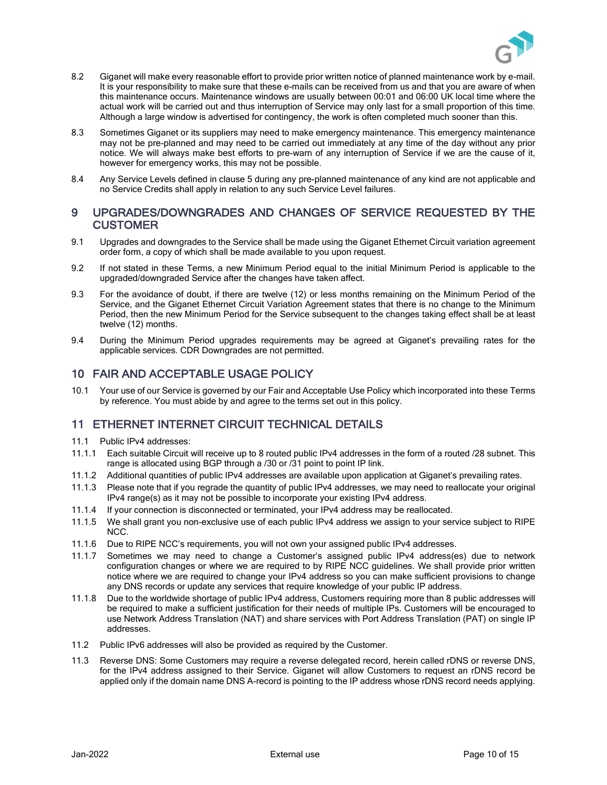

- 8.2 Giganet will make every reasonable effort to provide prior written notice of planned maintenance work by e-mail. It is your responsibility to make sure that these e-mails can be received from us and that you are aware of when this maintenance occurs. Maintenance windows are usually between 00:01 and 06:00 UK local time where the actual work will be carried out and thus interruption of Service may only last for a small proportion of this time. Although a large window is advertised for contingency, the work is often completed much sooner than this.
- <span id="page-9-0"></span>8.3 Sometimes Giganet or its suppliers may need to make emergency maintenance. This emergency maintenance may not be pre-planned and may need to be carried out immediately at any time of the day without any prior notice. We will always make best efforts to pre-warn of any interruption of Service if we are the cause of it, however for emergency works, this may not be possible.
- 8.4 Any Service Levels defined in claus[e 5](#page-4-0) during any pre-planned maintenance of any kind are not applicable and no Service Credits shall apply in relation to any such Service Level failures.

#### 9 UPGRADES/DOWNGRADES AND CHANGES OF SERVICE REQUESTED BY THE **CUSTOMER**

- 9.1 Upgrades and downgrades to the Service shall be made using the Giganet Ethernet Circuit variation agreement order form, a copy of which shall be made available to you upon request.
- <span id="page-9-1"></span>9.2 If not stated in these Terms, a new Minimum Period equal to the initial Minimum Period is applicable to the upgraded/downgraded Service after the changes have taken affect.
- <span id="page-9-2"></span>9.3 For the avoidance of doubt, if there are twelve (12) or less months remaining on the Minimum Period of the Service, and the Giganet Ethernet Circuit Variation Agreement states that there is no change to the Minimum Period, then the new Minimum Period for the Service subsequent to the changes taking effect shall be at least twelve (12) months.
- 9.4 During the Minimum Period upgrades requirements may be agreed at Giganet's prevailing rates for the applicable services. CDR Downgrades are not permitted.

### 10 FAIR AND ACCEPTABLE USAGE POLICY

10.1 Your use of our Service is governed by our Fair and Acceptable Use Policy which incorporated into these Terms by reference. You must abide by and agree to the terms set out in this policy.

### 11 ETHERNET INTERNET CIRCUIT TECHNICAL DETAILS

- 11.1 Public IPv4 addresses:
- 11.1.1 Each suitable Circuit will receive up to 8 routed public IPv4 addresses in the form of a routed /28 subnet. This range is allocated using BGP through a /30 or /31 point to point IP link.
- 11.1.2 Additional quantities of public IPv4 addresses are available upon application at Giganet's prevailing rates.
- 11.1.3 Please note that if you regrade the quantity of public IPv4 addresses, we may need to reallocate your original IPv4 range(s) as it may not be possible to incorporate your existing IPv4 address.
- 11.1.4 If your connection is disconnected or terminated, your IPv4 address may be reallocated.
- 11.1.5 We shall grant you non-exclusive use of each public IPv4 address we assign to your service subject to RIPE NCC.
- 11.1.6 Due to RIPE NCC's requirements, you will not own your assigned public IPv4 addresses.
- 11.1.7 Sometimes we may need to change a Customer's assigned public IPv4 address(es) due to network configuration changes or where we are required to by RIPE NCC guidelines. We shall provide prior written notice where we are required to change your IPv4 address so you can make sufficient provisions to change any DNS records or update any services that require knowledge of your public IP address.
- 11.1.8 Due to the worldwide shortage of public IPv4 address, Customers requiring more than 8 public addresses will be required to make a sufficient justification for their needs of multiple IPs. Customers will be encouraged to use Network Address Translation (NAT) and share services with Port Address Translation (PAT) on single IP addresses.
- 11.2 Public IPv6 addresses will also be provided as required by the Customer.
- 11.3 Reverse DNS: Some Customers may require a reverse delegated record, herein called rDNS or reverse DNS, for the IPv4 address assigned to their Service. Giganet will allow Customers to request an rDNS record be applied only if the domain name DNS A-record is pointing to the IP address whose rDNS record needs applying.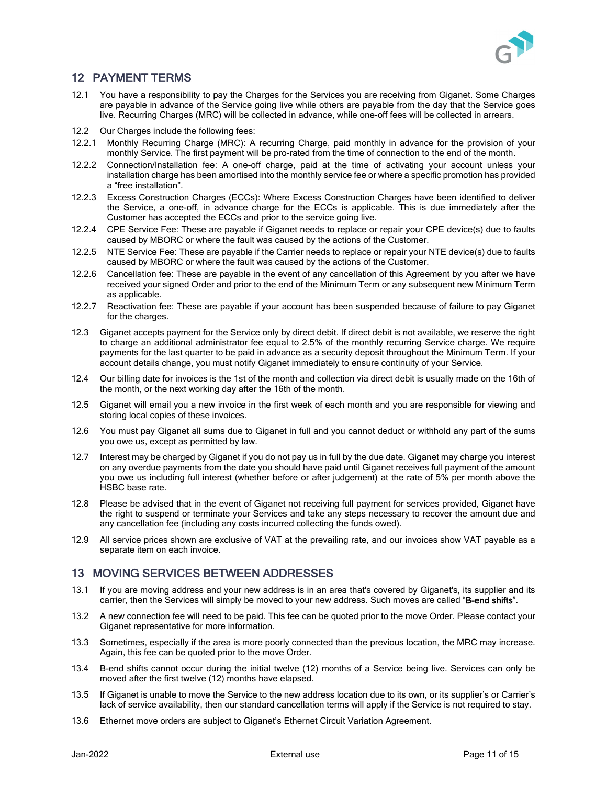

# 12 PAYMENT TERMS

- 12.1 You have a responsibility to pay the Charges for the Services you are receiving from Giganet. Some Charges are payable in advance of the Service going live while others are payable from the day that the Service goes live. Recurring Charges (MRC) will be collected in advance, while one-off fees will be collected in arrears.
- 12.2 Our Charges include the following fees:
- 12.2.1 Monthly Recurring Charge (MRC): A recurring Charge, paid monthly in advance for the provision of your monthly Service. The first payment will be pro-rated from the time of connection to the end of the month.
- 12.2.2 Connection/Installation fee: A one-off charge, paid at the time of activating your account unless your installation charge has been amortised into the monthly service fee or where a specific promotion has provided a "free installation".
- 12.2.3 Excess Construction Charges (ECCs): Where Excess Construction Charges have been identified to deliver the Service, a one-off, in advance charge for the ECCs is applicable. This is due immediately after the Customer has accepted the ECCs and prior to the service going live.
- 12.2.4 CPE Service Fee: These are payable if Giganet needs to replace or repair your CPE device(s) due to faults caused by MBORC or where the fault was caused by the actions of the Customer.
- 12.2.5 NTE Service Fee: These are payable if the Carrier needs to replace or repair your NTE device(s) due to faults caused by MBORC or where the fault was caused by the actions of the Customer.
- 12.2.6 Cancellation fee: These are payable in the event of any cancellation of this Agreement by you after we have received your signed Order and prior to the end of the Minimum Term or any subsequent new Minimum Term as applicable.
- 12.2.7 Reactivation fee: These are payable if your account has been suspended because of failure to pay Giganet for the charges.
- 12.3 Giganet accepts payment for the Service only by direct debit. If direct debit is not available, we reserve the right to charge an additional administrator fee equal to 2.5% of the monthly recurring Service charge. We require payments for the last quarter to be paid in advance as a security deposit throughout the Minimum Term. If your account details change, you must notify Giganet immediately to ensure continuity of your Service.
- 12.4 Our billing date for invoices is the 1st of the month and collection via direct debit is usually made on the 16th of the month, or the next working day after the 16th of the month.
- 12.5 Giganet will email you a new invoice in the first week of each month and you are responsible for viewing and storing local copies of these invoices.
- 12.6 You must pay Giganet all sums due to Giganet in full and you cannot deduct or withhold any part of the sums you owe us, except as permitted by law.
- 12.7 Interest may be charged by Giganet if you do not pay us in full by the due date. Giganet may charge you interest on any overdue payments from the date you should have paid until Giganet receives full payment of the amount you owe us including full interest (whether before or after judgement) at the rate of 5% per month above the HSBC base rate.
- 12.8 Please be advised that in the event of Giganet not receiving full payment for services provided, Giganet have the right to suspend or terminate your Services and take any steps necessary to recover the amount due and any cancellation fee (including any costs incurred collecting the funds owed).
- 12.9 All service prices shown are exclusive of VAT at the prevailing rate, and our invoices show VAT payable as a separate item on each invoice.

# <span id="page-10-0"></span>13 MOVING SERVICES BETWEEN ADDRESSES

- 13.1 If you are moving address and your new address is in an area that's covered by Giganet's, its supplier and its carrier, then the Services will simply be moved to your new address. Such moves are called "B-end shifts".
- 13.2 A new connection fee will need to be paid. This fee can be quoted prior to the move Order. Please contact your Giganet representative for more information.
- 13.3 Sometimes, especially if the area is more poorly connected than the previous location, the MRC may increase. Again, this fee can be quoted prior to the move Order.
- 13.4 B-end shifts cannot occur during the initial twelve (12) months of a Service being live. Services can only be moved after the first twelve (12) months have elapsed.
- 13.5 If Giganet is unable to move the Service to the new address location due to its own, or its supplier's or Carrier's lack of service availability, then our standard cancellation terms will apply if the Service is not required to stay.
- <span id="page-10-1"></span>13.6 Ethernet move orders are subject to Giganet's Ethernet Circuit Variation Agreement.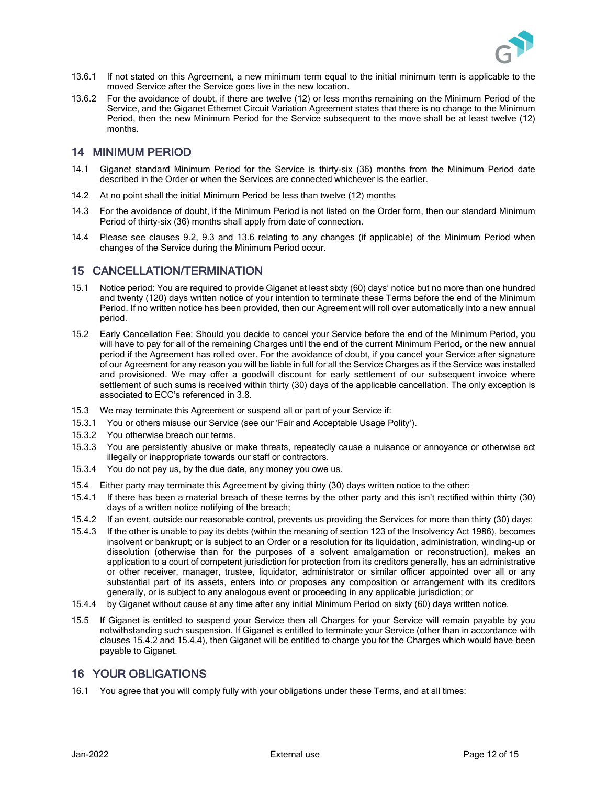

- 13.6.1 If not stated on this Agreement, a new minimum term equal to the initial minimum term is applicable to the moved Service after the Service goes live in the new location.
- 13.6.2 For the avoidance of doubt, if there are twelve (12) or less months remaining on the Minimum Period of the Service, and the Giganet Ethernet Circuit Variation Agreement states that there is no change to the Minimum Period, then the new Minimum Period for the Service subsequent to the move shall be at least twelve (12) months.

#### 14 MINIMUM PERIOD

- 14.1 Giganet standard Minimum Period for the Service is thirty-six (36) months from the Minimum Period date described in the Order or when the Services are connected whichever is the earlier.
- 14.2 At no point shall the initial Minimum Period be less than twelve (12) months
- 14.3 For the avoidance of doubt, if the Minimum Period is not listed on the Order form, then our standard Minimum Period of thirty-six (36) months shall apply from date of connection.
- 14.4 Please see clauses [9.2,](#page-9-1) [9.3](#page-9-2) and [13.6](#page-10-1) relating to any changes (if applicable) of the Minimum Period when changes of the Service during the Minimum Period occur.

### 15 CANCELLATION/TERMINATION

- <span id="page-11-0"></span>15.1 Notice period: You are required to provide Giganet at least sixty (60) days' notice but no more than one hundred and twenty (120) days written notice of your intention to terminate these Terms before the end of the Minimum Period. If no written notice has been provided, then our Agreement will roll over automatically into a new annual period.
- <span id="page-11-1"></span>15.2 Early Cancellation Fee: Should you decide to cancel your Service before the end of the Minimum Period, you will have to pay for all of the remaining Charges until the end of the current Minimum Period, or the new annual period if the Agreement has rolled over. For the avoidance of doubt, if you cancel your Service after signature of our Agreement for any reason you will be liable in full for all the Service Charges as if the Service was installed and provisioned. We may offer a goodwill discount for early settlement of our subsequent invoice where settlement of such sums is received within thirty (30) days of the applicable cancellation. The only exception is associated to ECC's referenced in [3.8.](#page-3-0)
- 15.3 We may terminate this Agreement or suspend all or part of your Service if:
- 15.3.1 You or others misuse our Service (see our 'Fair and Acceptable Usage Polity').
- 15.3.2 You otherwise breach our terms.
- 15.3.3 You are persistently abusive or make threats, repeatedly cause a nuisance or annoyance or otherwise act illegally or inappropriate towards our staff or contractors.
- 15.3.4 You do not pay us, by the due date, any money you owe us.
- 15.4 Either party may terminate this Agreement by giving thirty (30) days written notice to the other:
- 15.4.1 If there has been a material breach of these terms by the other party and this isn't rectified within thirty (30) days of a written notice notifying of the breach;
- <span id="page-11-2"></span>15.4.2 If an event, outside our reasonable control, prevents us providing the Services for more than thirty (30) days;
- 15.4.3 If the other is unable to pay its debts (within the meaning of section 123 of the Insolvency Act 1986), becomes insolvent or bankrupt; or is subject to an Order or a resolution for its liquidation, administration, winding-up or dissolution (otherwise than for the purposes of a solvent amalgamation or reconstruction), makes an application to a court of competent jurisdiction for protection from its creditors generally, has an administrative or other receiver, manager, trustee, liquidator, administrator or similar officer appointed over all or any substantial part of its assets, enters into or proposes any composition or arrangement with its creditors generally, or is subject to any analogous event or proceeding in any applicable jurisdiction; or
- <span id="page-11-3"></span>15.4.4 by Giganet without cause at any time after any initial Minimum Period on sixty (60) days written notice.
- 15.5 If Giganet is entitled to suspend your Service then all Charges for your Service will remain payable by you notwithstanding such suspension. If Giganet is entitled to terminate your Service (other than in accordance with clauses [15.4.2](#page-11-2) and [15.4.4\)](#page-11-3), then Giganet will be entitled to charge you for the Charges which would have been payable to Giganet.

### 16 YOUR OBLIGATIONS

16.1 You agree that you will comply fully with your obligations under these Terms, and at all times: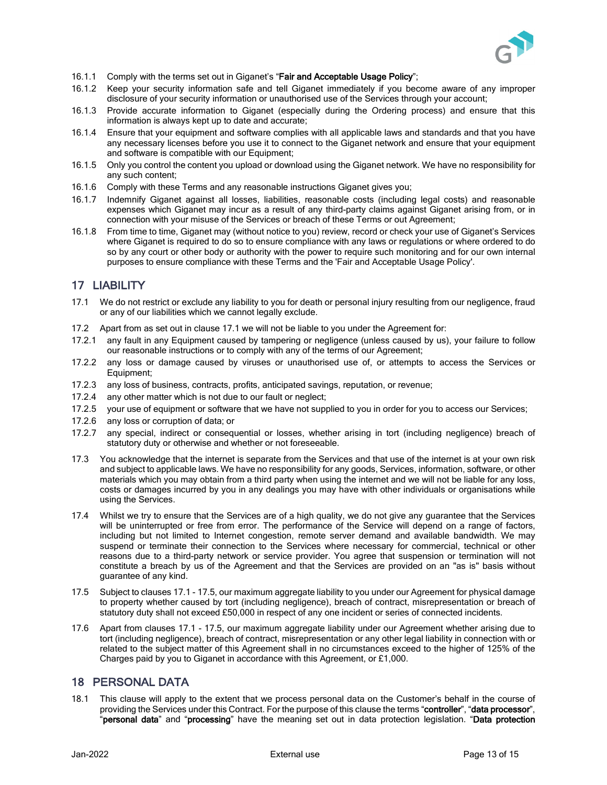

- 16.1.1 Comply with the terms set out in Giganet's "Fair and Acceptable Usage Policy";
- 16.1.2 Keep your security information safe and tell Giganet immediately if you become aware of any improper disclosure of your security information or unauthorised use of the Services through your account;
- 16.1.3 Provide accurate information to Giganet (especially during the Ordering process) and ensure that this information is always kept up to date and accurate;
- 16.1.4 Ensure that your equipment and software complies with all applicable laws and standards and that you have any necessary licenses before you use it to connect to the Giganet network and ensure that your equipment and software is compatible with our Equipment;
- 16.1.5 Only you control the content you upload or download using the Giganet network. We have no responsibility for any such content;
- 16.1.6 Comply with these Terms and any reasonable instructions Giganet gives you;
- 16.1.7 Indemnify Giganet against all losses, liabilities, reasonable costs (including legal costs) and reasonable expenses which Giganet may incur as a result of any third-party claims against Giganet arising from, or in connection with your misuse of the Services or breach of these Terms or out Agreement;
- 16.1.8 From time to time, Giganet may (without notice to you) review, record or check your use of Giganet's Services where Giganet is required to do so to ensure compliance with any laws or regulations or where ordered to do so by any court or other body or authority with the power to require such monitoring and for our own internal purposes to ensure compliance with these Terms and the 'Fair and Acceptable Usage Policy'.

### 17 LIABILITY

- <span id="page-12-0"></span>17.1 We do not restrict or exclude any liability to you for death or personal injury resulting from our negligence, fraud or any of our liabilities which we cannot legally exclude.
- 17.2 Apart from as set out in clause [17.1](#page-12-0) we will not be liable to you under the Agreement for:
- 17.2.1 any fault in any Equipment caused by tampering or negligence (unless caused by us), your failure to follow our reasonable instructions or to comply with any of the terms of our Agreement;
- 17.2.2 any loss or damage caused by viruses or unauthorised use of, or attempts to access the Services or Equipment;
- 17.2.3 any loss of business, contracts, profits, anticipated savings, reputation, or revenue;
- 17.2.4 any other matter which is not due to our fault or neglect;
- 17.2.5 your use of equipment or software that we have not supplied to you in order for you to access our Services;
- 17.2.6 any loss or corruption of data; or
- 17.2.7 any special, indirect or consequential or losses, whether arising in tort (including negligence) breach of statutory duty or otherwise and whether or not foreseeable.
- 17.3 You acknowledge that the internet is separate from the Services and that use of the internet is at your own risk and subject to applicable laws. We have no responsibility for any goods, Services, information, software, or other materials which you may obtain from a third party when using the internet and we will not be liable for any loss, costs or damages incurred by you in any dealings you may have with other individuals or organisations while using the Services.
- 17.4 Whilst we try to ensure that the Services are of a high quality, we do not give any guarantee that the Services will be uninterrupted or free from error. The performance of the Service will depend on a range of factors, including but not limited to Internet congestion, remote server demand and available bandwidth. We may suspend or terminate their connection to the Services where necessary for commercial, technical or other reasons due to a third-party network or service provider. You agree that suspension or termination will not constitute a breach by us of the Agreement and that the Services are provided on an "as is" basis without guarantee of any kind.
- <span id="page-12-1"></span>17.5 Subject to clauses [17.1](#page-12-0) - [17.5,](#page-12-1) our maximum aggregate liability to you under our Agreement for physical damage to property whether caused by tort (including negligence), breach of contract, misrepresentation or breach of statutory duty shall not exceed £50,000 in respect of any one incident or series of connected incidents.
- 17.6 Apart from clauses [17.1](#page-12-0) [17.5,](#page-12-0) our maximum aggregate liability under our Agreement whether arising due to tort (including negligence), breach of contract, misrepresentation or any other legal liability in connection with or related to the subject matter of this Agreement shall in no circumstances exceed to the higher of 125% of the Charges paid by you to Giganet in accordance with this Agreement, or £1,000.

## 18 PERSONAL DATA

18.1 This clause will apply to the extent that we process personal data on the Customer's behalf in the course of providing the Services under this Contract. For the purpose of this clause the terms "controller", "data processor", "personal data" and "processing" have the meaning set out in data protection legislation. "Data protection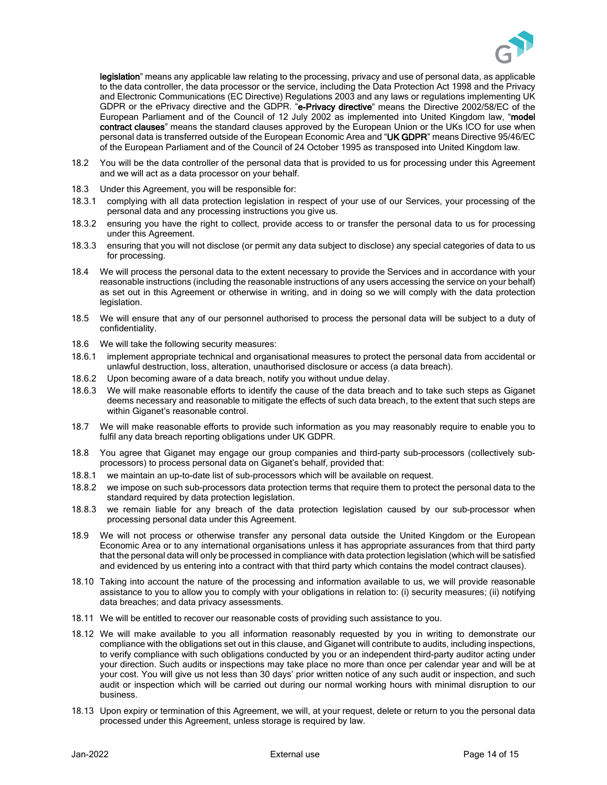

legislation" means any applicable law relating to the processing, privacy and use of personal data, as applicable to the data controller, the data processor or the service, including the Data Protection Act 1998 and the Privacy and Electronic Communications (EC Directive) Regulations 2003 and any laws or regulations implementing UK GDPR or the ePrivacy directive and the GDPR. "e-Privacy directive" means the Directive 2002/58/EC of the European Parliament and of the Council of 12 July 2002 as implemented into United Kingdom law, "model contract clauses" means the standard clauses approved by the European Union or the UKs ICO for use when personal data is transferred outside of the European Economic Area and "UK GDPR" means Directive 95/46/EC of the European Parliament and of the Council of 24 October 1995 as transposed into United Kingdom law.

- 18.2 You will be the data controller of the personal data that is provided to us for processing under this Agreement and we will act as a data processor on your behalf.
- 18.3 Under this Agreement, you will be responsible for:
- 18.3.1 complying with all data protection legislation in respect of your use of our Services, your processing of the personal data and any processing instructions you give us.
- 18.3.2 ensuring you have the right to collect, provide access to or transfer the personal data to us for processing under this Agreement.
- 18.3.3 ensuring that you will not disclose (or permit any data subject to disclose) any special categories of data to us for processing.
- 18.4 We will process the personal data to the extent necessary to provide the Services and in accordance with your reasonable instructions (including the reasonable instructions of any users accessing the service on your behalf) as set out in this Agreement or otherwise in writing, and in doing so we will comply with the data protection legislation.
- 18.5 We will ensure that any of our personnel authorised to process the personal data will be subject to a duty of confidentiality.
- 18.6 We will take the following security measures:
- 18.6.1 implement appropriate technical and organisational measures to protect the personal data from accidental or unlawful destruction, loss, alteration, unauthorised disclosure or access (a data breach).
- 18.6.2 Upon becoming aware of a data breach, notify you without undue delay.
- 18.6.3 We will make reasonable efforts to identify the cause of the data breach and to take such steps as Giganet deems necessary and reasonable to mitigate the effects of such data breach, to the extent that such steps are within Giganet's reasonable control.
- 18.7 We will make reasonable efforts to provide such information as you may reasonably require to enable you to fulfil any data breach reporting obligations under UK GDPR.
- 18.8 You agree that Giganet may engage our group companies and third-party sub-processors (collectively subprocessors) to process personal data on Giganet's behalf, provided that:
- 18.8.1 we maintain an up-to-date list of sub-processors which will be available on request.
- 18.8.2 we impose on such sub-processors data protection terms that require them to protect the personal data to the standard required by data protection legislation.
- 18.8.3 we remain liable for any breach of the data protection legislation caused by our sub-processor when processing personal data under this Agreement.
- 18.9 We will not process or otherwise transfer any personal data outside the United Kingdom or the European Economic Area or to any international organisations unless it has appropriate assurances from that third party that the personal data will only be processed in compliance with data protection legislation (which will be satisfied and evidenced by us entering into a contract with that third party which contains the model contract clauses).
- 18.10 Taking into account the nature of the processing and information available to us, we will provide reasonable assistance to you to allow you to comply with your obligations in relation to: (i) security measures; (ii) notifying data breaches; and data privacy assessments.
- 18.11 We will be entitled to recover our reasonable costs of providing such assistance to you.
- 18.12 We will make available to you all information reasonably requested by you in writing to demonstrate our compliance with the obligations set out in this clause, and Giganet will contribute to audits, including inspections, to verify compliance with such obligations conducted by you or an independent third-party auditor acting under your direction. Such audits or inspections may take place no more than once per calendar year and will be at your cost. You will give us not less than 30 days' prior written notice of any such audit or inspection, and such audit or inspection which will be carried out during our normal working hours with minimal disruption to our business.
- 18.13 Upon expiry or termination of this Agreement, we will, at your request, delete or return to you the personal data processed under this Agreement, unless storage is required by law.